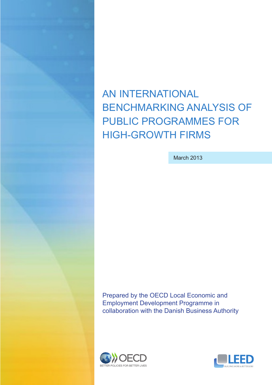

AN INTERNATIONAL BENCHMARKING ANALYSIS OF PUBLIC PROGRAMMES FOR HIGH-GROWTH FIRMS

March 2013

Prepared by the OECD Local Economic and Employment Development Programme in collaboration with the Danish Business Authority



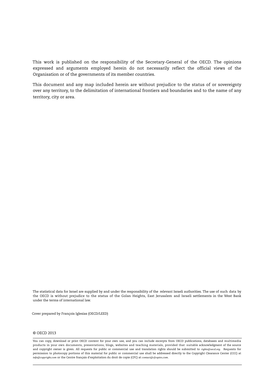This work is published on the responsibility of the Secretary-General of the OECD. The opinions expressed and arguments employed herein do not necessarily reflect the official views of the Organisation or of the governments of its member countries.

This document and any map included herein are without prejudice to the status of or sovereignty over any territory, to the delimitation of international frontiers and boundaries and to the name of any territory, city or area.

The statistical data for Israel are supplied by and under the responsibility of the relevant Israeli authorities. The use of such data by the OECD is without prejudice to the status of the Golan Heights, East Jerusalem and Israeli settlements in the West Bank under the terms of international law.

Cover prepared by François Iglesias (OECD/LEED)

#### © OECD 2013

You can copy, download or print OECD content for your own use, and you can include excerpts from OECD publications, databases and multimedia products in your own documents, presentations, blogs, websites and teaching materials, provided that suitable acknowledgment of the source and copyright owner is given. All requests for public or commercial use and translation rights should be submitted to *[rights@oecd.org](mailto:rights@oecd.org)*. Requests for permission to photocopy portions of this material for public or commercial use shall be addressed directly to the Copyright Clearance Center (CCC) at *[info@copyright.com](mailto:info@copyright.com)* or the Centre français d'exploitation du droit de copie (CFC) at *[contact@cfcopies.com](mailto:contact@cfcopies.com)*.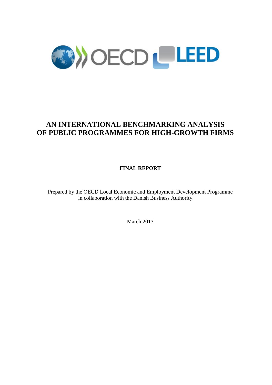

# **AN INTERNATIONAL BENCHMARKING ANALYSIS OF PUBLIC PROGRAMMES FOR HIGH-GROWTH FIRMS**

**FINAL REPORT**

Prepared by the OECD Local Economic and Employment Development Programme in collaboration with the Danish Business Authority

March 2013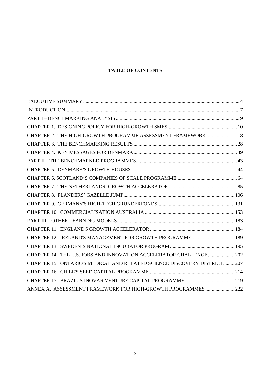## **TABLE OF CONTENTS**

| CHAPTER 2. THE HIGH-GROWTH PROGRAMME ASSESSMENT FRAMEWORK  18            |  |
|--------------------------------------------------------------------------|--|
|                                                                          |  |
|                                                                          |  |
|                                                                          |  |
|                                                                          |  |
|                                                                          |  |
|                                                                          |  |
|                                                                          |  |
|                                                                          |  |
|                                                                          |  |
|                                                                          |  |
|                                                                          |  |
|                                                                          |  |
|                                                                          |  |
| CHAPTER 14. THE U.S. JOBS AND INNOVATION ACCELERATOR CHALLENGE 202       |  |
| CHAPTER 15. ONTARIO'S MEDICAL AND RELATED SCIENCE DISCOVERY DISTRICT 207 |  |
|                                                                          |  |
|                                                                          |  |
| ANNEX A. ASSESSMENT FRAMEWORK FOR HIGH-GROWTH PROGRAMMES  222            |  |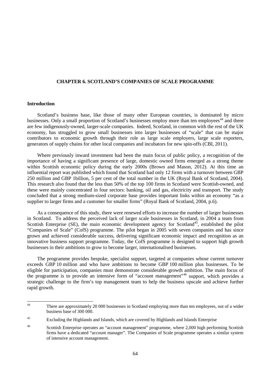#### <span id="page-4-0"></span>**CHAPTER 6. SCOTLAND'S COMPANIES OF SCALE PROGRAMME**

#### **Introduction**

Scotland's business base, like those of many other European countries, is dominated by micro businesses. Only a small proportion of Scotland's businesses employ more than ten employees<sup>[44](#page-4-1)</sup> and there are few indigenously-owned, larger-scale companies. Indeed, Scotland, in common with the rest of the UK economy, has struggled to grow small businesses into larger businesses of "scale" that can be major contributors to economic growth through their role as large scale employers, large scale exporters, generators of supply chains for other local companies and incubators for new spin-offs (CBI, 2011).

Where previously inward investment had been the main focus of public policy, a recognition of the importance of having a significant presence of large, domestic owned firms emerged as a strong theme within Scottish economic policy during the early 2000s (Brown and Mason, 2012). At this time an influential report was published which found that Scotland had only 12 firms with a turnover between GBP 250 million and GBP 1billion, 5 per cent of the total number in the UK (Royal Bank of Scotland, 2004). This research also found that the less than 50% of the top 100 firms in Scotland were Scottish-owned, and these were mainly concentrated in four sectors: banking, oil and gas, electricity and transport. The study concluded that a strong medium-sized corporate base provides important links within an economy "as a supplier to larger firms and a customer for smaller firms" (Royal Bank of Scotland, 2004, p.6).

As a consequence of this study, there were renewed efforts to increase the number of larger businesses in Scotland. To address the perceived lack of larger scale businesses in Scotland, in 2004 a team from Scottish Enterprise (SE), the main economic development agency for Scotland<sup>45</sup>, established the pilot "Companies of Scale" (CofS) programme. The pilot began in 2005 with seven companies and has since grown and achieved considerable success, delivering significant economic impact and recognition as an innovative business support programme. Today, the CofS programme is designed to support high growth businesses in their ambitions to grow to become larger, internationalised businesses.

The programme provides bespoke, specialist support, targeted at companies whose current turnover exceeds GBP 10 million and who have ambitions to become GBP 100 million plus businesses. To be eligible for participation, companies must demonstrate considerable growth ambition. The main focus of the programme is to provide an intensive form of "account management"[46](#page-4-3) support, which provides a strategic challenge to the firm's top management team to help the business upscale and achieve further rapid growth.

<span id="page-4-1"></span> $\overline{44}$ There are approximately 20 000 businesses in Scotland employing more than ten employees, out of a wider business base of 300 000.

<span id="page-4-2"></span><sup>&</sup>lt;sup>45</sup> Excluding the Highlands and Islands, which are covered by Highlands and Islands Enterprise

<span id="page-4-3"></span><sup>46</sup> Scottish Enterprise operates an "account management" programme, where 2,000 high performing Scottish firms have a dedicated "account manager". The Companies of Scale programme operates a similar system of intensive account management.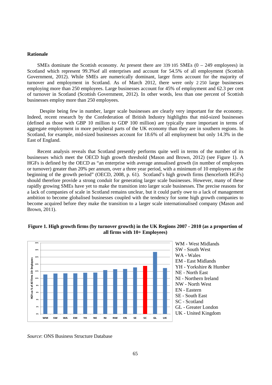## **Rationale**

SMEs dominate the Scottish economy. At present there are  $339\,105$  SMEs  $(0 - 249)$  employees) in Scotland which represent 99.3%of all enterprises and account for 54.5% of all employment (Scottish Government, 2012). While SMEs are numerically dominant, larger firms account for the majority of turnover and employment in Scotland. As of March 2012, there were only 2 250 large businesses employing more than 250 employees. Large businesses account for 45% of employment and 62.3 per cent of turnover in Scotland (Scottish Government, 2012). In other words, less than one percent of Scottish businesses employ more than 250 employees.

 Despite being few in number, larger scale businesses are clearly very important for the economy. Indeed, recent research by the Confederation of British Industry highlights that mid-sized businesses (defined as those with GBP 10 million to GDP 100 million) are typically more important in terms of aggregate employment in more peripheral parts of the UK economy than they are in southern regions. In Scotland, for example, mid-sized businesses account for 18.6% of all employment but only 14.3% in the East of England.

Recent analysis reveals that Scotland presently performs quite well in terms of the number of its businesses which meet the OECD high growth threshold (Mason and Brown, 2012) (see Figure 1). A HGFs is defined by the OECD as "an enterprise with average annualised growth (in number of employees or turnover) greater than 20% per annum, over a three year period, with a minimum of 10 employees at the beginning of the growth period" (OECD, 2008, p. 61). Scotland's high growth firms (henceforth HGFs) should therefore provide a strong conduit for generating larger scale businesses. However, many of these rapidly growing SMEs have yet to make the transition into larger scale businesses. The precise reasons for a lack of companies of scale in Scotland remains unclear, but it could partly owe to a lack of management ambition to become globalised businesses coupled with the tendency for some high growth companies to become acquired before they make the transition to a larger scale internationalised company (Mason and Brown, 2011).



### **Figure 1. High growth firms (by turnover growth) in the UK Regions 2007 - 2010 (as a proportion of all firms with 10+ Employees)**

*Source*: ONS Business Structure Database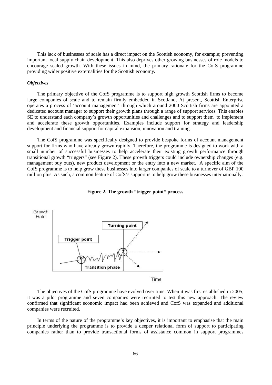This lack of businesses of scale has a direct impact on the Scottish economy, for example; preventing important local supply chain development, This also deprives other growing businesses of role models to encourage scaled growth. With these issues in mind, the primary rationale for the CofS programme providing wider positive externalities for the Scottish economy.

#### *Objectives*

The primary objective of the CofS programme is to support high growth Scottish firms to become large companies of scale and to remain firmly embedded in Scotland, At present, Scottish Enterprise operates a process of 'account management' through which around 2000 Scottish firms are appointed a dedicated account manager to support their growth plans through a range of support services. This enables SE to understand each company's growth opportunities and challenges and to support them to implement and accelerate these growth opportunities. Examples include support for strategy and leadership development and financial support for capital expansion, innovation and training.

The CofS programme was specifically designed to provide bespoke forms of account management support for firms who have already grown rapidly. Therefore, the programme is designed to work with a small number of successful businesses to help accelerate their existing growth performance through transitional growth "triggers" (see Figure 2). These growth triggers could include ownership changes (e.g. management buy outs), new product development or the entry into a new market. A specific aim of the CofS programme is to help grow these businesses into larger companies of scale to a turnover of GBP 100 million plus. As such, a common feature of CofS's support is to help grow these businesses internationally.





The objectives of the CofS programme have evolved over time. When it was first established in 2005, it was a pilot programme and seven companies were recruited to test this new approach. The review confirmed that significant economic impact had been achieved and CofS was expanded and additional companies were recruited.

In terms of the nature of the programme's key objectives, it is important to emphasise that the main principle underlying the programme is to provide a deeper relational form of support to participating companies rather than to provide transactional forms of assistance common in support programmes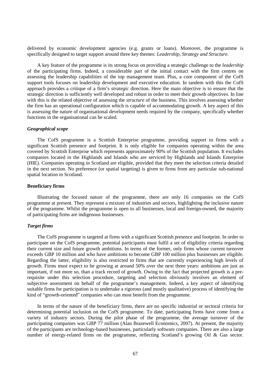delivered by economic development agencies (e.g. grants or loans). Moreover, the programme is specifically designed to target support around three key themes: *Leadership, Strategy and Structure*.

A key feature of the programme is its strong focus on providing a strategic challenge to the *leadership* of the participating firms. Indeed, a considerable part of the initial contact with the firm centres on assessing the leadership capabilities of the top management team. Plus, a core component of the CofS support tools focuses on leadership development and executive education. In tandem with this the CofS approach provides a critique of a firm's *strategic* direction. Here the main objective is to ensure that the strategic direction is sufficiently well developed and robust in order to meet their growth objectives. In line with this is the related objective of assessing the *structure* of the business. This involves assessing whether the firm has an operational configuration which is capable of accommodating growth. A key aspect of this is assessing the nature of organisational development needs required by the company, specifically whether functions in the organisational can be scaled.

## *Geographical scope*

The CofS programme is a Scottish Enterprise programme, providing support to firms with a significant Scottish presence and footprint. It is only eligible for companies operating within the area covered by Scottish Enterprise which represents approximately 90% of the Scottish population. It excludes companies located in the Highlands and Islands who are serviced by Highlands and Islands Enterprise (HIE). Companies operating in Scotland are eligible, provided that they meet the selection criteria detailed in the next section. No preference (or spatial targeting) is given to firms from any particular sub-national spatial location in Scotland.

#### **Beneficiary firms**

Illustrating the focused nature of the programme, there are only 16 companies on the CofS programme at present. They represent a mixture of industries and sectors, highlighting the inclusive nature of the programme. Whilst the programme is open to all businesses, local and foreign-owned, the majority of participating firms are indigenous businesses.

#### *Target firms*

The CofS programme is targeted at firms with a significant Scottish presence and footprint. In order to participate on the CofS programme, potential participants must fulfil a set of eligibility criteria regarding their current size and future growth ambitions. In terms of the former, only firms whose current turnover exceeds GBP 10 million and who have ambitions to become GBP 100 million plus businesses are eligible. Regarding the latter, eligibility is also restricted to firms that are currently experiencing high levels of growth. Firms must expect to be growing at around 50% over the next three years: ambitions are just as important, if not more so, than a track record of growth. Owing to the fact that projected growth is a prerequisite under this selection procedure, targeting and selection obviously involves an element of subjective assessment on behalf of the programme's management. Indeed, a key aspect of identifying suitable firms for participation is to undertake a rigorous (and mostly qualitative) process of identifying the kind of "growth-oriented" companies who can most benefit from the programme.

In terms of the nature of the beneficiary firms, there are no specific industrial or sectoral criteria for determining potential inclusion on the CofS programme. To date, participating firms have come from a variety of industry sectors. During the pilot phase of the programme, the average turnover of the participating companies was GBP 77 million (Alan Brazewell Economics, 2007). At present, the majority of the participants are technology-based businesses, particularly software companies. There are also a large number of energy-related firms on the programme, reflecting Scotland's growing Oil & Gas sector.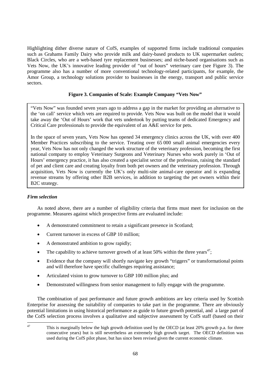Highlighting dither diverse nature of CofS, examples of supported firms include traditional companies such as Grahams Family Dairy who provide milk and dairy-based products to UK supermarket outlets; Black Circles, who are a web-based tyre replacement businesses; and niche-based organisations such as Vets Now, the UK's innovative leading provider of "out of hours" veterinary care (see Figure 3). The programme also has a number of more conventional technology-related participants, for example, the Amor Group, a technology solutions provider to businesses in the energy, transport and public service sectors.

## **Figure 3. Companies of Scale: Example Company "Vets Now"**

"Vets Now" was founded seven years ago to address a gap in the market for providing an alternative to the 'on call' service which vets are required to provide. Vets Now was built on the model that it would take away the 'Out of Hours' work that vets undertook by putting teams of dedicated Emergency and Critical Care professionals to provide the equivalent of an A&E service for pets.

In the space of seven years, Vets Now has opened 34 emergency clinics across the UK, with over 400 Member Practices subscribing to the service. Treating over 65 000 small animal emergencies every year, Vets Now has not only changed the work structure of the veterinary profession, becoming the first national company to employ Veterinary Surgeons and Veterinary Nurses who work purely in 'Out of Hours' emergency practice, it has also created a specialist sector of the profession, raising the standard of pet and client care and creating loyalty from both pet owners and the veterinary profession. Through acquisition, Vets Now is currently the UK's only multi-site animal-care operator and is expanding revenue streams by offering other B2B services, in addition to targeting the pet owners within their B2C strategy.

## *Firm selection*

As noted above, there are a number of eligibility criteria that firms must meet for inclusion on the programme. Measures against which prospective firms are evaluated include:

- A demonstrated commitment to retain a significant presence in Scotland;
- Current turnover in excess of GBP 10 million:
- A demonstrated ambition to grow rapidly:
- The capability to achieve turnover growth of at least 50% within the three years<sup>[47](#page-8-0)</sup>;
- Evidence that the company will shortly navigate key growth "triggers" or transformational points and will therefore have specific challenges requiring assistance;
- Articulated vision to grow turnover to GBP 100 million plus; and
- Demonstrated willingness from senior management to fully engage with the programme.

The combination of past performance and future growth ambitions are key criteria used by Scottish Enterprise for assessing the suitability of companies to take part in the programme. There are obviously potential limitations in using historical performance as guide to future growth potential, and a large part of the CofS selection process involves a qualitative and subjective assessment by CofS staff (based on their

<span id="page-8-0"></span> $\Delta$ 7

This is marginally below the high growth definition used by the OECD (at least 20% growth p.a. for three consecutive years) but is still nevertheless an extremely high growth target. The OECD definition was used during the CofS pilot phase, but has since been revised given the current economic climate.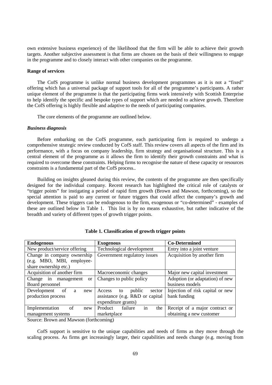own extensive business experience) of the likelihood that the firm will be able to achieve their growth targets. Another subjective assessment is that firms are chosen on the basis of their willingness to engage in the programme and to closely interact with other companies on the programme.

#### **Range of services**

The CofS programme is unlike normal business development programmes as it is not a "fixed" offering which has a universal package of support tools for all of the programme's participants. A rather unique element of the programme is that the participating firms work intensively with Scottish Enterprise to help identify the specific and bespoke types of support which are needed to achieve growth. Therefore the CofS offering is highly flexible and adaptive to the needs of participating companies.

The core elements of the programme are outlined below.

#### *Business diagnosis*

Before embarking on the CofS programme, each participating firm is required to undergo a comprehensive strategic review conducted by CofS staff. This review covers all aspects of the firm and its performance, with a focus on company leadership, firm strategy and organisational structure. This is a central element of the programme as it allows the firm to identify their growth constraints and what is required to overcome these constraints. Helping firms to recognise the nature of these capacity or resources constraints is a fundamental part of the CofS process..

Building on insights gleaned during this review, the contents of the programme are then specifically designed for the individual company. Recent research has highlighted the critical role of catalysts or "trigger points" for instigating a period of rapid firm growth (Brown and Mawson, forthcoming), so the special attention is paid to any current or future triggers that could affect the company's growth and development. These triggers can be endogenous to the firm, exogenous or "co-determined" - examples of these are outlined below in Table 1. This list is by no means exhaustive, but rather indicative of the breadth and variety of different types of growth trigger points.

| <b>Endogenous</b>                        | <b>Exogenous</b>                 | <b>Co-Determined</b>             |
|------------------------------------------|----------------------------------|----------------------------------|
| New product/service offering             | Technological development        | Entry into a joint venture       |
| Change in company ownership              | Government regulatory issues     | Acquisition by another firm      |
| (e.g. MBO, MBI, employee-                |                                  |                                  |
| share ownership etc.)                    |                                  |                                  |
| Acquisition of another firm              | Macroeconomic changes            | Major new capital investment     |
| Change in<br>management<br><sub>or</sub> | Changes to public policy         | Adoption (or adaptation) of new  |
| Board personnel                          |                                  | business models                  |
| of<br>Development<br>a<br>new            | public<br>sector<br>Access<br>to | Injection of risk capital or new |
| production process                       | assistance (e.g. R&D or capital  | bank funding                     |
|                                          | expenditure grants)              |                                  |
| Implementation<br>of<br>new              | in<br>failure<br>Product<br>the  | Receipt of a major contract or   |
| management systems                       | marketplace                      | obtaining a new customer         |
|                                          |                                  |                                  |

**Table 1. Classification of growth trigger points** 

Source: Brown and Mawson (forthcoming)

CofS support is sensitive to the unique capabilities and needs of firms as they move through the scaling process. As firms get increasingly larger, their capabilities and needs change (e.g. moving from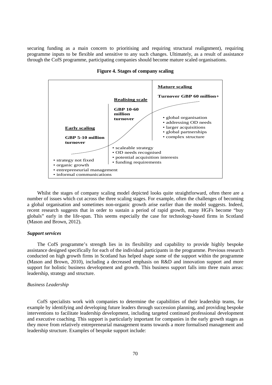securing funding as a main concern to prioritising and requiring structural realignment), requiring programme inputs to be flexible and sensitive to any such changes. Ultimately, as a result of assistance through the CofS programme, participating companies should become mature scaled organisations.



**Figure 4. Stages of company scaling**

Whilst the stages of company scaling model depicted looks quite straightforward, often there are a number of issues which cut across the three scaling stages. For example, often the challenges of becoming a global organisation and sometimes non-organic growth arise earlier than the model suggests. Indeed, recent research suggests that in order to sustain a period of rapid growth, many HGFs become "buy globals" early in the life-span. This seems especially the case for technology-based firms in Scotland (Mason and Brown, 2012).

#### *Support services*

The CofS programme's strength lies in its flexibility and capability to provide highly bespoke assistance designed specifically for each of the individual participants in the programme. Previous research conducted on high growth firms in Scotland has helped shape some of the support within the programme (Mason and Brown, 2010), including a decreased emphasis on R&D and innovation support and more support for holistic business development and growth. This business support falls into three main areas: leadership, strategy and structure.

#### *Business Leadership*

CofS specialists work with companies to determine the capabilities of their leadership teams, for example by identifying and developing future leaders through succession planning, and providing bespoke interventions to facilitate leadership development, including targeted continued professional development and executive coaching. This support is particularly important for companies in the early growth stages as they move from relatively entrepreneurial management teams towards a more formalised management and leadership structure. Examples of bespoke support include: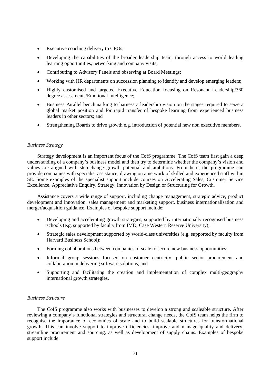- Executive coaching delivery to CEOs;
- Developing the capabilities of the broader leadership team, through access to world leading learning opportunities, networking and company visits;
- Contributing to Advisory Panels and observing at Board Meetings;
- Working with HR departments on succession planning to identify and develop emerging leaders;
- Highly customised and targeted Executive Education focusing on Resonant Leadership/360 degree assessments/Emotional Intelligence;
- Business Parallel benchmarking to harness a leadership vision on the stages required to seize a global market position and for rapid transfer of bespoke learning from experienced business leaders in other sectors; and
- Strengthening Boards to drive growth e.g. introduction of potential new non executive members.

## *Business Strategy*

Strategy development is an important focus of the CofS programme. The CofS team first gain a deep understanding of a company's business model and then try to determine whether the company's vision and values are aligned with step-change growth potential and ambitions. From here, the programme can provide companies with specialist assistance, drawing on a network of skilled and experienced staff within SE. Some examples of the specialist support include courses on Accelerating Sales, Customer Service Excellence, Appreciative Enquiry, Strategy, Innovation by Design or Structuring for Growth.

Assistance covers a wide range of support, including change management, strategic advice, product development and innovation, sales management and marketing support, business internationalisation and merger/acquisition guidance. Examples of bespoke support include:

- Developing and accelerating growth strategies, supported by internationally recognised business schools (e.g. supported by faculty from IMD, Case Western Reserve University);
- Strategic sales development supported by world-class universities (e.g. supported by faculty from Harvard Business School);
- Forming collaborations between companies of scale to secure new business opportunities;
- Informal group sessions focused on customer centricity, public sector procurement and collaboration in delivering software solutions; and
- Supporting and facilitating the creation and implementation of complex multi-geography international growth strategies.

## *Business Structure*

The CofS programme also works with businesses to develop a strong and scaleable structure. After reviewing a company's functional strategies and structural change needs, the CofS team helps the firm to recognise the importance of economies of scale and to build scalable structures for transformational growth. This can involve support to improve efficiencies, improve and manage quality and delivery, streamline procurement and sourcing, as well as development of supply chains. Examples of bespoke support include: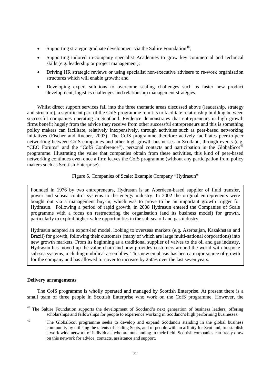- Supporting strategic graduate development via the Saltire Foundation<sup>[48](#page-12-0)</sup>:
- Supporting tailored in-company specialist Academies to grow key commercial and technical skills (e.g. leadership or project management);
- Driving HR strategic reviews or using specialist non-executive advisers to re-work organisation structures which will enable growth; and
- Developing expert solutions to overcome scaling challenges such as faster new product development, logistics challenges and relationship management strategies.

Whilst direct support services fall into the three thematic areas discussed above (leadership, strategy and structure), a significant part of the CofS programme remit is to facilitate relationship building between successful companies operating in Scotland. Evidence demonstrates that entrepreneurs in high growth firms benefit hugely from the advice they receive from other successful entrepreneurs and this is something policy makers can facilitate, relatively inexpensively, through activities such as peer-based networking initiatives (Fischer and Rueber, 2003). The CofS programme therefore actively facilitates peer-to-peer networking between CofS companies and other high growth businesses in Scotland, through events (e.g. "CEO Forums" and the "CofS Conference"), personal contacts and participation in the GlobalScot<sup>4</sup> programme. Illustrating the value that companies obtain from these activities, this kind of peer-based networking continues even once a firm leaves the CofS programme (without any participation from policy makers such as Scottish Enterprise).

Figure 5. Companies of Scale: Example Company "Hydrasun"

Founded in 1976 by two entrepreneurs, Hydrasun is an Aberdeen-based supplier of fluid transfer, power and subsea control systems to the energy industry. In 2002 the original entrepreneurs were bought out via a management buy-in, which was to prove to be an important growth trigger for Hydrasun. Following a period of rapid growth, in 2008 Hydrasun entered the Companies of Scale programme with a focus on restructuring the organisation (and its business model) for growth, particularly to exploit higher-value opportunities in the sub-sea oil and gas industry.

Hydrasun adopted an export-led model, looking to overseas markets (e.g. Azerbaijan, Kazakhstan and Brazil) for growth, following their customers (many of which are large multi-national corporations) into new growth markets. From its beginning as a traditional supplier of valves to the oil and gas industry, Hydrasun has moved up the value chain and now provides customers around the world with bespoke sub-sea systems, including umbilical assemblies. This new emphasis has been a major source of growth for the company and has allowed turnover to increase by 250% over the last seven years.

## **Delivery arrangements**

The CofS programme is wholly operated and managed by Scottish Enterprise. At present there is a small team of three people in Scottish Enterprise who work on the CofS programme. However, the

<span id="page-12-0"></span> $\overline{a}$ <sup>48</sup> The Saltire Foundation supports the development of Scotland's next generation of business leaders, offering scholarships and fellowships for people to experience working in Scotland's high performing businesses.

<span id="page-12-1"></span><sup>&</sup>lt;sup>49</sup> The GlobalScot programme seeks to develop and expand Scotland's standing in the global business community by utilising the talents of leading Scots, and of people with an affinity for Scotland, to establish a worldwide network of individuals who are outstanding in their field. Scottish companies can freely draw on this network for advice, contacts, assistance and support.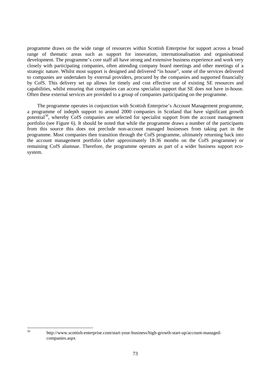programme draws on the wide range of resources within Scottish Enterprise for support across a broad range of thematic areas such as support for innovation, internationalisation and organisational development. The programme's core staff all have strong and extensive business experience and work very closely with participating companies, often attending company board meetings and other meetings of a strategic nature. Whilst most support is designed and delivered "in house", some of the services delivered to companies are undertaken by external providers, procured by the companies and supported financially by CofS. This delivery set up allows for timely and cost effective use of existing SE resources and capabilities, whilst ensuring that companies can access specialist support that SE does not have in-house. Often these external services are provided to a group of companies participating on the programme.

The programme operates in conjunction with Scottish Enterprise's Account Management programme, a programme of indepth support to around 2000 companies in Scotland that have significant growth potential<sup>[50](#page-13-0)</sup>, whereby CofS companies are selected for specialist support from the account management portfolio (see Figure 6). It should be noted that while the programme draws a number of the participants from this source this does not preclude non-account managed businesses from taking part in the programme. Most companies then transition through the CofS programme, ultimately returning back into the account management portfolio (after approximately 18-36 months on the CofS programme) or remaining CofS alumnae. Therefore, the programme operates as part of a wider business support ecosystem.

<span id="page-13-0"></span>50

<sup>50</sup> http://www.scottish-enterprise.com/start-your-business/high-growth-start-up/account-managedcompanies.aspx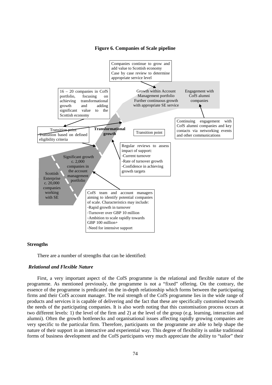#### **Figure 6. Companies of Scale pipeline**



#### **Strengths**

There are a number of strengths that can be identified:

## *Relational and Flexible Nature*

First, a very important aspect of the CofS programme is the relational and flexible nature of the programme. As mentioned previously, the programme is not a "fixed" offering. On the contrary, the essence of the programme is predicated on the in-depth relationship which forms between the participating firms and their CofS account manager. The real strength of the CofS programme lies in the wide range of products and services it is capable of delivering and the fact that these are specifically customised towards the needs of the participating companies. It is also worth noting that this customisation process occurs at two different levels: 1) the level of the firm and 2) at the level of the group (e.g. learning, interaction and alumni). Often the growth bottlenecks and organisational issues affecting rapidly growing companies are very specific to the particular firm. Therefore, participants on the programme are able to help shape the nature of their support in an interactive and experiential way. This degree of flexibility is unlike traditional forms of business development and the CofS participants very much appreciate the ability to "tailor" their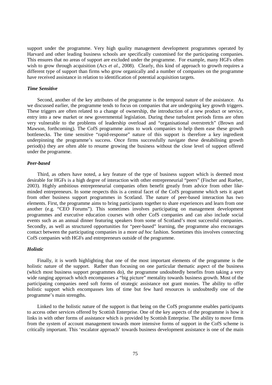support under the programme. Very high quality management development programmes operated by Harvard and other leading business schools are specifically customised for the participating companies. This ensures that no areas of support are excluded under the programme. For example, many HGFs often wish to grow through acquisition (Acs *et al*., 2008). Clearly, this kind of approach to growth requires a different type of support than firms who grow organically and a number of companies on the programme have received assistance in relation to identification of potential acquisition targets.

#### *Time Sensitive*

Second, another of the key attributes of the programme is the temporal nature of the assistance. As we discussed earlier, the programme tends to focus on companies that are undergoing key growth triggers. These triggers are often related to a change of ownership, the introduction of a new product or service, entry into a new market or new governmental legislation. During these turbulent periods firms are often very vulnerable to the problems of leadership overload and "organisational overstretch" (Brown and Mawson, forthcoming). The CofS programme aims to work companies to help them ease these growth bottlenecks. The time sensitive "rapid-response" nature of this support is therefore a key ingredient underpinning the programme's success. Once firms successfully navigate these destabilising growth period(s) they are often able to resume growing the business without the close level of support offered under the programme.

## *Peer-based*

Third, as others have noted, a key feature of the type of business support which is deemed most desirable for HGFs is a high degree of interaction with other entrepreneurial "peers" (Fischer and Rueber, 2003). Highly ambitious entrepreneurial companies often benefit greatly from advice from other likeminded entrepreneurs. In some respects this is a central facet of the CofS programme which sets it apart from other business support programmes in Scotland. The nature of peer-based interaction has two elements. First, the programme aims to bring participants together to share experiences and learn from one another (e.g. "CEO Forums"). This sometimes involves participating on management development programmes and executive education courses with other CofS companies and can also include social events such as an annual dinner featuring speakers from some of Scotland's most successful companies. Secondly, as well as structured opportunities for "peer-based" learning, the programme also encourages contact between the participating companies in a more *ad hoc* fashion. Sometimes this involves connecting CofS companies with HGFs and entrepreneurs outside of the programme.

## *Holistic*

Finally, it is worth highlighting that one of the most important elements of the programme is the holistic nature of the support. Rather than focusing on one particular thematic aspect of the business (which most business support programmes do), the programme undoubtedly benefits from taking a very wide ranging approach which encompasses a "big picture" mentality towards business growth. Most of the participating companies need soft forms of strategic assistance not grant monies. The ability to offer holistic support which encompasses lots of time but few hard resources is undoubtedly one of the programme's main strengths.

Linked to the holistic nature of the support is that being on the CofS programme enables participants to access other services offered by Scottish Enterprise. One of the key aspects of the programme is how it links in with other forms of assistance which is provided by Scottish Enterprise. The ability to move firms from the system of account management towards more intensive forms of support in the CofS scheme is critically important. This 'escalator approach' towards business development assistance is one of the main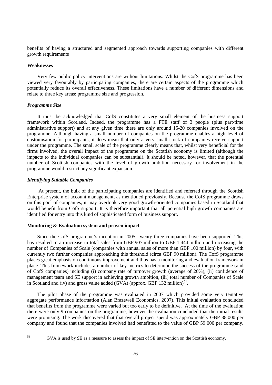benefits of having a structured and segmented approach towards supporting companies with different growth requirements

#### **Weaknesses**

Very few public policy interventions are without limitations. Whilst the CofS programme has been viewed very favourably by participating companies, there are certain aspects of the programme which potentially reduce its overall effectiveness. These limitations have a number of different dimensions and relate to three key areas: programme size and progression.

#### *Programme Size*

It must be acknowledged that CofS constitutes a very small element of the business support framework within Scotland. Indeed, the programme has a FTE staff of 3 people (plus part-time administrative support) and at any given time there are only around 15-20 companies involved on the programme. Although having a small number of companies on the programme enables a high level of customisation for participants, it does mean that only a very small stock of companies receive support under the programme. The small scale of the programme clearly means that, whilst very beneficial for the firms involved, the overall impact of the programme on the Scottish economy is limited (although the impacts to the individual companies can be substantial). It should be noted, however, that the potential number of Scottish companies with the level of growth ambition necessary for involvement in the programme would restrict any significant expansion.

#### *Identifying Suitable Companies*

At present, the bulk of the participating companies are identified and referred through the Scottish Enterprise system of account management, as mentioned previously. Because the CofS programme draws on this pool of companies, it may overlook very good growth-oriented companies based in Scotland that would benefit from CofS support. It is therefore important that all potential high growth companies are identified for entry into this kind of sophisticated form of business support.

#### **Monitoring & Evaluation system and proven impact**

Since the CofS programme's inception in 2005, twenty three companies have been supported. This has resulted in an increase in total sales from GBP 907 million to GBP 1,444 million and increasing the number of Companies of Scale (companies with annual sales of more than GBP 100 million) by four, with currently two further companies approaching this threshold (circa GBP 90 million). The CofS programme places great emphasis on continuous improvement and thus has a monitoring and evaluation framework in place. This framework includes a number of key metrics to determine the success of the programme (and of CofS companies) including (i) company rate of turnover growth (average of 26%), (ii) confidence of management team and SE support in achieving growth ambition, (iii) total number of Companies of Scale in Scotland and (iv) and gross value added  $(GVA)$  (approx. GBP 132 million)<sup>[51](#page-16-0)</sup>.

The pilot phase of the programme was evaluated in 2007 which provided some very tentative aggregate performance information (Alan Brazewell Economics, 2007). This initial evaluation concluded that benefits from the programme were varied but too early to be definitive. At the time of the evaluation there were only 9 companies on the programme, however the evaluation concluded that the initial results were promising. The work discovered that that overall project spend was approximately GBP 38 000 per company and found that the companies involved had benefitted to the value of GBP 59 000 per company.

<span id="page-16-0"></span>51

GVA is used by SE as a measure to assess the impact of SE intervention on the Scottish economy.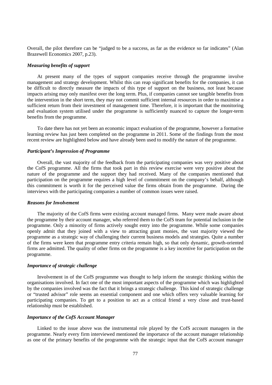Overall, the pilot therefore can be "judged to be a success, as far as the evidence so far indicates" (Alan Brazewell Economics 2007, p.23).

#### *Measuring benefits of support*

At present many of the types of support companies receive through the programme involve management and strategy development. Whilst this can reap significant benefits for the companies, it can be difficult to directly measure the impacts of this type of support on the business, not least because impacts arising may only manifest over the long term. Plus, if companies cannot see tangible benefits from the intervention in the short term, they may not commit sufficient internal resources in order to maximise a sufficient return from their investment of management time. Therefore, it is important that the monitoring and evaluation system utilised under the programme is sufficiently nuanced to capture the longer-term benefits from the programme.

To date there has not yet been an economic impact evaluation of the programme, however a formative learning review has just been completed on the programme in 2011. Some of the findings from the most recent review are highlighted below and have already been used to modify the nature of the programme.

#### *Participant's Impression of Programme*

Overall, the vast majority of the feedback from the participating companies was very positive about the CofS programme. All the firms that took part in this review exercise were very positive about the nature of the programme and the support they had received. Many of the companies mentioned that participation on the programme requires a high level of commitment on the company's behalf, although this commitment is worth it for the perceived value the firms obtain from the programme. During the interviews with the participating companies a number of common issues were raised.

#### *Reasons for Involvement*

The majority of the CofS firms were existing account managed firms. Many were made aware about the programme by their account manager, who referred them to the CofS team for potential inclusion in the programme. Only a minority of firms actively sought entry into the programme. While some companies openly admit that they joined with a view to attracting grant monies, the vast majority viewed the programme as a strategic way of challenging their current business models and strategies. Quite a number of the firms were keen that programme entry criteria remain high, so that only dynamic, growth-oriented firms are admitted. The quality of other firms on the programme is a key incentive for participation on the programme.

#### *Importance of strategic challenge*

Involvement in of the CofS programme was thought to help inform the strategic thinking within the organisations involved. In fact one of the most important aspects of the programme which was highlighted by the companies involved was the fact that it brings a strategic challenge. This kind of strategic challenge or "trusted advisor" role seems an essential component and one which offers very valuable learning for participating companies. To get to a position to act as a critical friend a very close and trust-based relationship must be established.

## *Importance of the CofS Account Manager*

Linked to the issue above was the instrumental role played by the CofS account managers in the programme. Nearly every firm interviewed mentioned the importance of the account manager relationship as one of the primary benefits of the programme with the strategic input that the CofS account manager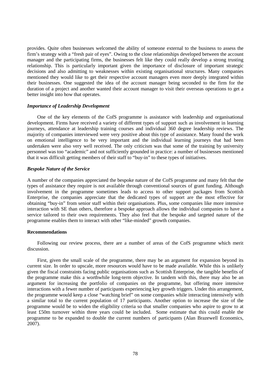provides. Quite often businesses welcomed the ability of someone external to the business to assess the firm's strategy with a "fresh pair of eyes". Owing to the close relationships developed between the account manager and the participating firms, the businesses felt like they could really develop a strong trusting relationship. This is particularly important given the importance of disclosure of important strategic decisions and also admitting to weaknesses within existing organisational structures. Many companies mentioned they would like to get their respective account managers even more deeply integrated within their businesses. One suggested the idea of the account manager being seconded to the firm for the duration of a project and another wanted their account manager to visit their overseas operations to get a better insight into how that operates.

#### *Importance of Leadership Development*

One of the key elements of the CofS programme is assistance with leadership and organisational development. Firms have received a variety of different types of support such as involvement in learning journeys, attendance at leadership training courses and individual 360 degree leadership reviews. The majority of companies interviewed were very positive about this type of assistance. Many found the work on emotional intelligence to be very important and the individual learning journeys that had been undertaken were also very well received. The only criticism was that some of the training by university personnel was too "academic" and not sufficiently grounded in practice: a number of businesses mentioned that it was difficult getting members of their staff to "buy-in" to these types of initiatives.

#### *Bespoke Nature of the Service*

A number of the companies appreciated the bespoke nature of the CofS programme and many felt that the types of assistance they require is not available through conventional sources of grant funding. Although involvement in the programme sometimes leads to access to other support packages from Scottish Enterprise, the companies appreciate that the dedicated types of support are the most effective for obtaining "buy-in" from senior staff within their organisations. Plus, some companies like more intensive interaction with SE than others, therefore a bespoke approach allows the individual companies to have a service tailored to their own requirements. They also feel that the bespoke and targeted nature of the programme enables them to interact with other "like-minded" growth companies.

#### **Recommendations**

Following our review process, there are a number of areas of the CofS programme which merit discussion.

First, given the small scale of the programme, there may be an argument for expansion beyond its current size. In order to upscale, more resources would have to be made available. While this is unlikely given the fiscal constraints facing public organisations such as Scottish Enterprise, the tangible benefits of the programme make this a worthwhile long-term objective. In tandem with this, there may also be an argument for increasing the portfolio of companies on the programme, but offering more intensive interactions with a fewer number of participants experiencing key growth triggers. Under this arrangement, the programme would keep a close "watching brief" on some companies while interacting intensively with a similar total to the current population of 17 participants. Another option to increase the size of the programme would be to widen the eligibility criteria so that smaller companies who aspire to grow to at least £50m turnover within three years could be included. Some estimate that this could enable the programme to be expanded to double the current numbers of participants (Alan Brazewell Economics, 2007).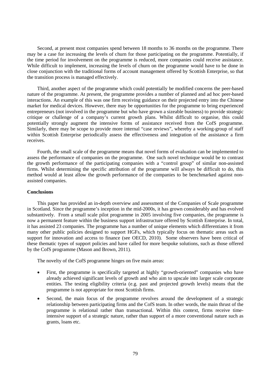Second, at present most companies spend between 18 months to 36 months on the programme. There may be a case for increasing the levels of churn for those participating on the programme. Potentially, if the time period for involvement on the programme is reduced, more companies could receive assistance. While difficult to implement, increasing the levels of churn on the programme would have to be done in close conjunction with the traditional forms of account management offered by Scottish Enterprise, so that the transition process is managed effectively.

Third, another aspect of the programme which could potentially be modified concerns the peer-based nature of the programme. At present, the programme provides a number of planned and ad hoc peer-based interactions. An example of this was one firm receiving guidance on their projected entry into the Chinese market for medical devices. However, there may be opportunities for the programme to bring experienced entrepreneurs (not involved in the programme but who have grown a sizeable business) to provide strategic critique or challenge of a company's current growth plans. Whilst difficult to organise, this could potentially strongly augment the intensive forms of assistance received from the CofS programme. Similarly, there may be scope to provide more internal "case reviews", whereby a working-group of staff within Scottish Enterprise periodically assess the effectiveness and integration of the assistance a firm receives.

Fourth, the small scale of the programme means that novel forms of evaluation can be implemented to assess the performance of companies on the programme. One such novel technique would be to contrast the growth performance of the participating companies with a "control group" of similar non-assisted firms. Whilst determining the specific attribution of the programme will always be difficult to do, this method would at least allow the growth performance of the companies to be benchmarked against nonassisted companies.

#### **Conclusions**

This paper has provided an in-depth overview and assessment of the Companies of Scale programme in Scotland. Since the programme's inception in the mid-2000s, it has grown considerably and has evolved substantively. From a small scale pilot programme in 2005 involving five companies, the programme is now a permanent feature within the business support infrastructure offered by Scottish Enterprise. In total, it has assisted 23 companies. The programme has a number of unique elements which differentiates it from many other public policies designed to support HGFs, which typically focus on thematic areas such as support for innovation and access to finance (see OECD, 2010). Some observers have been critical of these thematic types of support policies and have called for more bespoke solutions, such as those offered by the CofS programme (Mason and Brown, 2011).

The novelty of the CofS programme hinges on five main areas:

- First, the programme is specifically targeted at highly "growth-oriented" companies who have already achieved significant levels of growth and who aim to upscale into larger scale corporate entities. The testing eligibility criteria (e.g. past and projected growth levels) means that the programme is not appropriate for most Scottish firms.
- Second, the main focus of the programme revolves around the development of a strategic relationship between participating firms and the CofS team. In other words, the main thrust of the programme is relational rather than transactional. Within this context, firms receive timeintensive support of a strategic nature, rather than support of a more conventional nature such as grants, loans etc.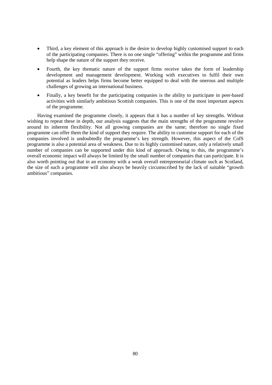- Third, a key element of this approach is the desire to develop highly customised support to each of the participating companies. There is no one single "offering" within the programme and firms help shape the nature of the support they receive.
- Fourth, the key thematic nature of the support firms receive takes the form of leadership development and management development. Working with executives to fulfil their own potential as leaders helps firms become better equipped to deal with the onerous and multiple challenges of growing an international business.
- Finally, a key benefit for the participating companies is the ability to participate in peer-based activities with similarly ambitious Scottish companies. This is one of the most important aspects of the programme.

Having examined the programme closely, it appears that it has a number of key strengths. Without wishing to repeat these in depth, our analysis suggests that the main strengths of the programme revolve around its inherent flexibility. Not all growing companies are the same; therefore no single fixed programme can offer them the kind of support they require. The ability to customise support for each of the companies involved is undoubtedly the programme's key strength. However, this aspect of the CofS programme is also a potential area of weakness. Due to its highly customised nature, only a relatively small number of companies can be supported under this kind of approach. Owing to this, the programme's overall economic impact will always be limited by the small number of companies that can participate. It is also worth pointing out that in an economy with a weak overall entrepreneurial climate such as Scotland, the size of such a programme will also always be heavily circumscribed by the lack of suitable "growth ambitious" companies.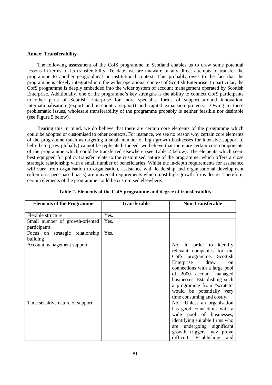#### **Annex: Transferability**

The following assessment of the CofS programme in Scotland enables us to draw some potential lessons in terms of its transferability. To date, we are unaware of any direct attempts to transfer the programme to another geographical or institutional context. This probably owes to the fact that the programme is closely integrated into the wider operational context of Scottish Enterprise. In particular, the CofS programme is deeply embedded into the wider system of account management operated by Scottish Enterprise. Additionally, one of the programme's key strengths is the ability to connect CofS participants to other parts of Scottish Enterprise for more specialist forms of support around innovation, internationalisation (export and in-country support) and capital expansion projects. Owing to these problematic issues, wholesale transferability of the programme probably is neither feasible nor desirable (see Figure 5 below).

Bearing this in mind, we do believe that there are certain core elements of the programme which could be adopted or customised to other contexts. For instance, we see no reason why certain core elements of the programme (such as targeting a small number of high growth businesses for intensive support to help them grow globally) cannot be replicated. Indeed, we believe that there are certain core components of the programme which could be transferred elsewhere (see Table 2 below). The elements which seem best equipped for policy transfer relate to the customised nature of the programme, which offers a close strategic relationship with a small number of beneficiaries. Whilst the in-depth requirements for assistance will vary from organisation to organisation, assistance with leadership and organisational development (often on a peer-based basis) are universal requirements which most high growth firms desire. Therefore, certain elements of the programme could be customised elsewhere.

| <b>Elements of the Programme</b>                | <b>Transferable</b> | <b>Non-Transferable</b>                                                                                                                                                                                                                                                                              |
|-------------------------------------------------|---------------------|------------------------------------------------------------------------------------------------------------------------------------------------------------------------------------------------------------------------------------------------------------------------------------------------------|
| Flexible structure                              | Yes.                |                                                                                                                                                                                                                                                                                                      |
| Small number of growth-oriented<br>participants | Yes.                |                                                                                                                                                                                                                                                                                                      |
| strategic relationship<br>Focus on<br>building  | Yes.                |                                                                                                                                                                                                                                                                                                      |
| Account management support                      |                     | No. In order to identify<br>relevant companies for the<br>CofS programme, Scottish<br>Enterprise<br>draw<br>on<br>connections with a large pool<br>of 2000 account managed<br>businesses. Establishing such<br>a programme from "scratch"<br>would be potentially very<br>time consuming and costly. |
| Time sensitive nature of support                |                     | No. Unless an organisation<br>has good connections with a<br>wide pool of businesses,<br>identifying suitable firms who<br>are undergoing significant<br>growth triggers may prove<br>difficult. Establishing<br>and                                                                                 |

**Table 2. Elements of the CofS programme and degree of transferability**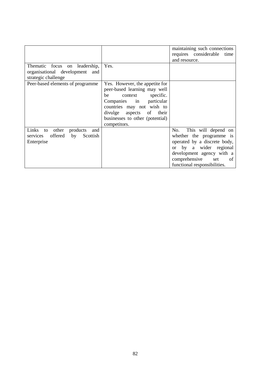|                                                                                             |                                                                                                                                                                                                                                  | maintaining such connections<br>requires considerable<br>time<br>and resource.                                                                                                                              |
|---------------------------------------------------------------------------------------------|----------------------------------------------------------------------------------------------------------------------------------------------------------------------------------------------------------------------------------|-------------------------------------------------------------------------------------------------------------------------------------------------------------------------------------------------------------|
| Thematic focus on leadership,<br>organisational development<br>and<br>strategic challenge   | Yes.                                                                                                                                                                                                                             |                                                                                                                                                                                                             |
| Peer-based elements of programme                                                            | Yes. However, the appetite for<br>peer-based learning may well<br>be context specific.<br>Companies in particular<br>countries may not wish to<br>divulge<br>aspects of their<br>businesses to other (potential)<br>competitors. |                                                                                                                                                                                                             |
| Links<br>products<br>to other<br>and<br>offered<br>by<br>Scottish<br>services<br>Enterprise |                                                                                                                                                                                                                                  | This will depend on<br>No.<br>whether the programme is<br>operated by a discrete body,<br>or by a wider regional<br>development agency with a<br>comprehensive<br>set<br>of<br>functional responsibilities. |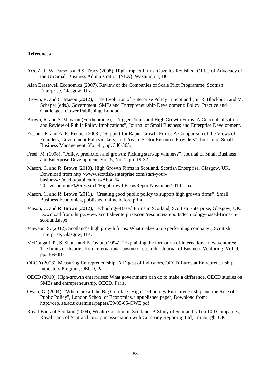#### **References**

- Acs, Z. J., W. Parsons and S. Tracy (2008), High-Impact Firms: Gazelles Revisited, Office of Advocacy of the US Small Business Administration (SBA), Washington, DC.
- Alan Brazewell Economics (2007), Review of the Companies of Scale Pilot Programme, Scottish Enterprise, Glasgow, UK.
- Brown, R. and C. Mason (2012), "The Evolution of Enterprise Policy in Scotland", in R. Blackburn and M. Schaper (eds.), Government, SMEs and Entrepreneurship Development: Policy, Practice and Challenges, Gower Publishing, London.
- Brown, R. and S. Mawson (Forthcoming), "Trigger Points and High Growth Firms: A Conceptualisation and Review of Public Policy Implications", Journal of Small Business and Enterprise Development.
- Fischer, E. and A. R. Reuber (2003), "Support for Rapid-Growth Firms: A Comparison of the Views of Founders, Government Policymakers, and Private Sector Resource Providers", Journal of Small Business Management, Vol. 41, pp. 346-365.
- Freel, M. (1998), "Policy, prediction and growth: Picking start-up winners?", Journal of Small Business and Enterprise Development, Vol. 5, No. 1, pp. 19-32.

Mason, C. and R. Brown (2010), High Growth Firms in Scotland, Scottish Enterprise, Glasgow, UK. Download from http://www.scottish-enterprise.com/start-yourbusiness/~/media/publications/About% 20Us/economic%20research/HighGrowthFirmsReportNovember2010.ashx

- Mason, C. and R. Brown (2011), "Creating good public policy to support high growth firms", Small Business Economics, published online before print.
- Mason, C. and R. Brown (2012), Technology-Based Firms in Scotland, Scottish Enterprise, Glasgow, UK. Download from: http://www.scottish-enterprise.com/resources/reports/technology-based-firms-inscotland.aspx
- Mawson, S. (2012), Scotland's high growth firms: What makes a top performing company?, Scottish Enterprise, Glasgow, UK.
- McDougall, P., S. Shane and B. Oviatt (1994), "Explaining the formation of international new ventures: The limits of theories from international business research", Journal of Business Venturing, Vol. 9, pp. 469-487.
- OECD (2008), Measuring Entrepreneurship: A Digest of Indicators, OECD-Eurostat Entrepreneurship Indicators Program, OECD, Paris.
- OECD (2010), High-growth enterprises: What governments can do to make a difference, OECD studies on SMEs and entrepreneurship, OECD, Paris.
- Owen, G. (2004), "Where are all the Big Gorillas? High Technology Entrepreneurship and the Role of Public Policy", London School of Economics, unpublished paper, Download from: http://cep.lse.ac.uk/seminarpapers/09-05-05-OWE.pdf
- Royal Bank of Scotland (2004), Wealth Creation in Scotland: A Study of Scotland's Top 100 Companies, Royal Bank of Scotland Group in association with Company Reporting Ltd, Edinburgh, UK.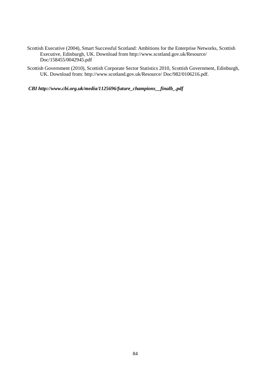- Scottish Executive (2004), Smart Successful Scotland: Ambitions for the Enterprise Networks, Scottish Executive, Edinburgh, UK. Download from http://www.scotland.gov.uk/Resource/ Doc/158455/0042945.pdf
- Scottish Government (2010), Scottish Corporate Sector Statistics 2010, Scottish Government, Edinburgh, UK. Download from: http://www.scotland.gov.uk/Resource/ Doc/982/0106216.pdf.

 *CBI http://www.cbi.org.uk/media/1125696/future\_champions\_\_finalb\_.pdf*